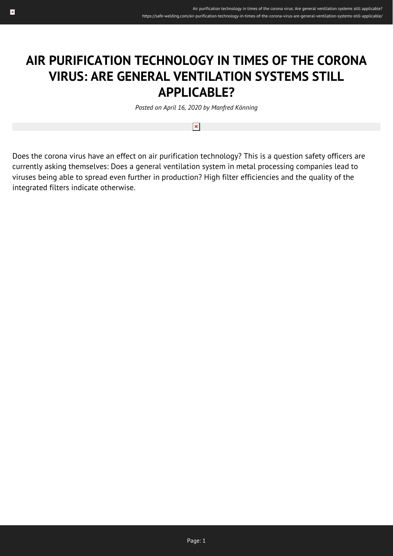## **AIR PURIFICATION TECHNOLOGY IN TIMES OF THE CORONA VIRUS: ARE GENERAL VENTILATION SYSTEMS STILL APPLICABLE?**

*Posted on April 16, 2020 by Manfred Könning*

 $\pmb{\times}$ 

Does the corona virus have an effect on air purification technology? This is a question safety officers are currently asking themselves: Does a general ventilation system in metal processing companies lead to viruses being able to spread even further in production? High filter efficiencies and the quality of the integrated filters indicate otherwise.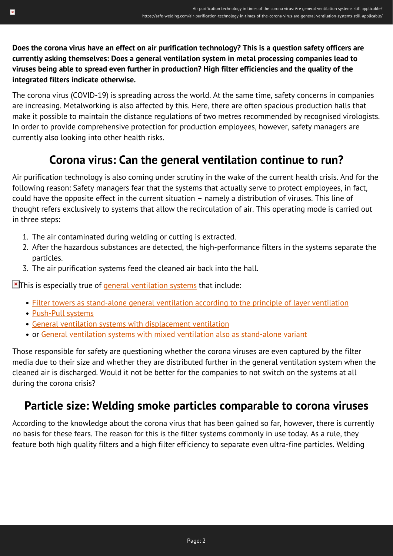**Does the corona virus have an effect on air purification technology? This is a question safety officers are currently asking themselves: Does a general ventilation system in metal processing companies lead to viruses being able to spread even further in production? High filter efficiencies and the quality of the integrated filters indicate otherwise.**

The corona virus (COVID-19) is spreading across the world. At the same time, safety concerns in companies are increasing. Metalworking is also affected by this. Here, there are often spacious production halls that make it possible to maintain the distance regulations of two metres recommended by recognised virologists. In order to provide comprehensive protection for production employees, however, safety managers are currently also looking into other health risks.

## **Corona virus: Can the general ventilation continue to run?**

Air purification technology is also coming under scrutiny in the wake of the current health crisis. And for the following reason: Safety managers fear that the systems that actually serve to protect employees, in fact, could have the opposite effect in the current situation – namely a distribution of viruses. This line of thought refers exclusively to systems that allow the recirculation of air. This operating mode is carried out in three steps:

- 1. The air contaminated during welding or cutting is extracted.
- 2. After the hazardous substances are detected, the high-performance filters in the systems separate the particles.
- 3. The air purification systems feed the cleaned air back into the hall.

 $\blacktriangleright$ This is especially true of [general ventilation systems](https://safe-welding.com/nine-reasons-why-general-ventilation-systems-make-sense-for-metal-processing-companies/) that include:

- [Filter towers as stand-alone general ventilation according to the principle of layer ventilation](https://www.kemper.eu/en/products/cleanairtower-general-ventilation_kp18930)
- [Push-Pull systems](https://www.kemper.eu/en/products/push-pull-general-ventilation-system_kp18963)
- [General ventilation systems with displacement ventilation](https://www.kemper.eu/en/products/displacement-ventilation_kp18969)
- or [General ventilation systems with mixed ventilation also as stand-alone variant](https://www.kemper.eu/en/products/kemjet-general-ventilation-system_kp26520)

Those responsible for safety are questioning whether the corona viruses are even captured by the filter media due to their size and whether they are distributed further in the general ventilation system when the cleaned air is discharged. Would it not be better for the companies to not switch on the systems at all during the corona crisis?

## **Particle size: Welding smoke particles comparable to corona viruses**

According to the knowledge about the corona virus that has been gained so far, however, there is currently no basis for these fears. The reason for this is the filter systems commonly in use today. As a rule, they feature both high quality filters and a high filter efficiency to separate even ultra-fine particles. Welding